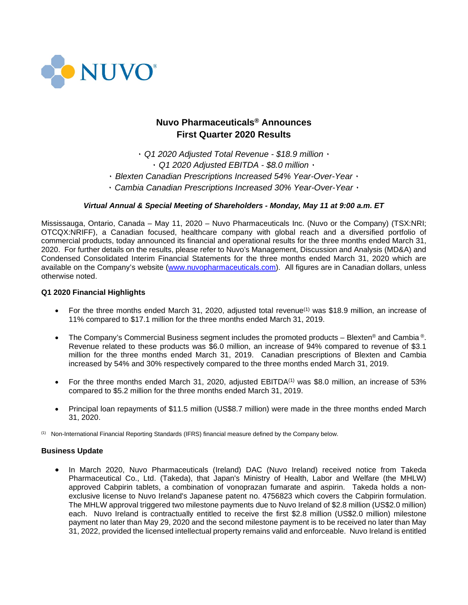

# **Nuvo Pharmaceuticals® Announces First Quarter 2020 Results**

۰ *Q1 2020 Adjusted Total Revenue - \$18.9 million* ۰ ۰ *Q1 2020 Adjusted EBITDA - \$8.0 million* ۰

۰ *Blexten Canadian Prescriptions Increased 54% Year-Over-Year* ۰

۰ *Cambia Canadian Prescriptions Increased 30% Year-Over-Year* ۰

## *Virtual Annual & Special Meeting of Shareholders - Monday, May 11 at 9:00 a.m. ET*

Mississauga, Ontario, Canada – May 11, 2020 – Nuvo Pharmaceuticals Inc. (Nuvo or the Company) (TSX:NRI; OTCQX:NRIFF), a Canadian focused, healthcare company with global reach and a diversified portfolio of commercial products, today announced its financial and operational results for the three months ended March 31, 2020. For further details on the results, please refer to Nuvo's Management, Discussion and Analysis (MD&A) and Condensed Consolidated Interim Financial Statements for the three months ended March 31, 2020 which are available on the Company's website [\(www.nuvopharmaceuticals.com\)](http://www.nuvopharmaceuticals.com/). All figures are in Canadian dollars, unless otherwise noted.

### **Q1 2020 Financial Highlights**

- For the three months ended March 31, 2020, adjusted total revenue<sup>(1)</sup> was \$18.9 million, an increase of 11% compared to \$17.1 million for the three months ended March 31, 2019.
- The Company's Commercial Business segment includes the promoted products Blexten® and Cambia ®. Revenue related to these products was \$6.0 million, an increase of 94% compared to revenue of \$3.1 million for the three months ended March 31, 2019. Canadian prescriptions of Blexten and Cambia increased by 54% and 30% respectively compared to the three months ended March 31, 2019.
- For the three months ended March 31, 2020, adjusted EBITDA(1) was \$8.0 million, an increase of 53% compared to \$5.2 million for the three months ended March 31, 2019.
- Principal loan repayments of \$11.5 million (US\$8.7 million) were made in the three months ended March 31, 2020.

(1) Non-International Financial Reporting Standards (IFRS) financial measure defined by the Company below.

### **Business Update**

• In March 2020, Nuvo Pharmaceuticals (Ireland) DAC (Nuvo Ireland) received notice from Takeda Pharmaceutical Co., Ltd. (Takeda), that Japan's Ministry of Health, Labor and Welfare (the MHLW) approved Cabpirin tablets, a combination of vonoprazan fumarate and aspirin. Takeda holds a nonexclusive license to Nuvo Ireland's Japanese patent no. 4756823 which covers the Cabpirin formulation. The MHLW approval triggered two milestone payments due to Nuvo Ireland of \$2.8 million (US\$2.0 million) each. Nuvo Ireland is contractually entitled to receive the first \$2.8 million (US\$2.0 million) milestone payment no later than May 29, 2020 and the second milestone payment is to be received no later than May 31, 2022, provided the licensed intellectual property remains valid and enforceable. Nuvo Ireland is entitled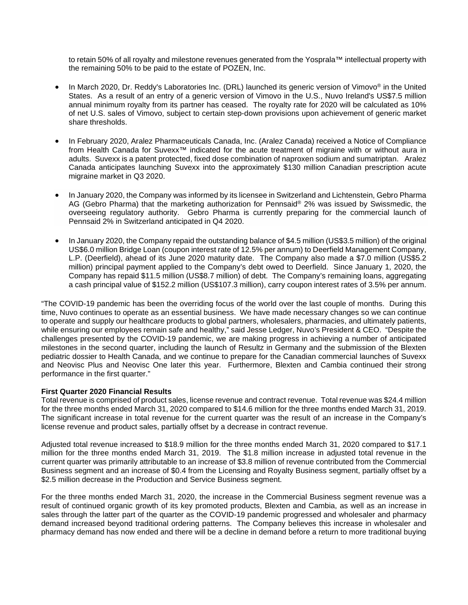to retain 50% of all royalty and milestone revenues generated from the Yosprala™ intellectual property with the remaining 50% to be paid to the estate of POZEN, Inc.

- In March 2020, Dr. Reddy's Laboratories Inc. (DRL) launched its generic version of Vimovo® in the United States. As a result of an entry of a generic version of Vimovo in the U.S., Nuvo Ireland's US\$7.5 million annual minimum royalty from its partner has ceased. The royalty rate for 2020 will be calculated as 10% of net U.S. sales of Vimovo, subject to certain step-down provisions upon achievement of generic market share thresholds.
- In February 2020, Aralez Pharmaceuticals Canada, Inc. (Aralez Canada) received a Notice of Compliance from Health Canada for Suvexx™ indicated for the acute treatment of migraine with or without aura in adults. Suvexx is a patent protected, fixed dose combination of naproxen sodium and sumatriptan. Aralez Canada anticipates launching Suvexx into the approximately \$130 million Canadian prescription acute migraine market in Q3 2020.
- In January 2020, the Company was informed by its licensee in Switzerland and Lichtenstein, Gebro Pharma AG (Gebro Pharma) that the marketing authorization for Pennsaid® 2% was issued by Swissmedic, the overseeing regulatory authority. Gebro Pharma is currently preparing for the commercial launch of Pennsaid 2% in Switzerland anticipated in Q4 2020.
- In January 2020, the Company repaid the outstanding balance of \$4.5 million (US\$3.5 million) of the original US\$6.0 million Bridge Loan (coupon interest rate of 12.5% per annum) to Deerfield Management Company, L.P. (Deerfield), ahead of its June 2020 maturity date. The Company also made a \$7.0 million (US\$5.2 million) principal payment applied to the Company's debt owed to Deerfield. Since January 1, 2020, the Company has repaid \$11.5 million (US\$8.7 million) of debt. The Company's remaining loans, aggregating a cash principal value of \$152.2 million (US\$107.3 million), carry coupon interest rates of 3.5% per annum.

"The COVID-19 pandemic has been the overriding focus of the world over the last couple of months. During this time, Nuvo continues to operate as an essential business. We have made necessary changes so we can continue to operate and supply our healthcare products to global partners, wholesalers, pharmacies, and ultimately patients, while ensuring our employees remain safe and healthy," said Jesse Ledger, Nuvo's President & CEO. "Despite the challenges presented by the COVID-19 pandemic, we are making progress in achieving a number of anticipated milestones in the second quarter, including the launch of Resultz in Germany and the submission of the Blexten pediatric dossier to Health Canada, and we continue to prepare for the Canadian commercial launches of Suvexx and Neovisc Plus and Neovisc One later this year. Furthermore, Blexten and Cambia continued their strong performance in the first quarter."

### **First Quarter 2020 Financial Results**

Total revenue is comprised of product sales, license revenue and contract revenue. Total revenue was \$24.4 million for the three months ended March 31, 2020 compared to \$14.6 million for the three months ended March 31, 2019. The significant increase in total revenue for the current quarter was the result of an increase in the Company's license revenue and product sales, partially offset by a decrease in contract revenue.

Adjusted total revenue increased to \$18.9 million for the three months ended March 31, 2020 compared to \$17.1 million for the three months ended March 31, 2019. The \$1.8 million increase in adjusted total revenue in the current quarter was primarily attributable to an increase of \$3.8 million of revenue contributed from the Commercial Business segment and an increase of \$0.4 from the Licensing and Royalty Business segment, partially offset by a \$2.5 million decrease in the Production and Service Business segment.

For the three months ended March 31, 2020, the increase in the Commercial Business segment revenue was a result of continued organic growth of its key promoted products, Blexten and Cambia, as well as an increase in sales through the latter part of the quarter as the COVID-19 pandemic progressed and wholesaler and pharmacy demand increased beyond traditional ordering patterns. The Company believes this increase in wholesaler and pharmacy demand has now ended and there will be a decline in demand before a return to more traditional buying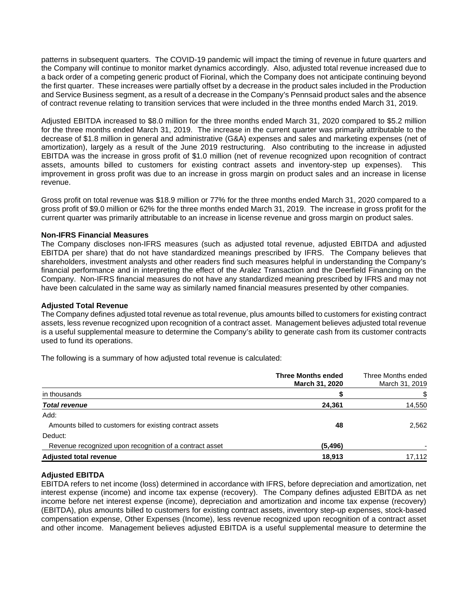patterns in subsequent quarters. The COVID-19 pandemic will impact the timing of revenue in future quarters and the Company will continue to monitor market dynamics accordingly. Also, adjusted total revenue increased due to a back order of a competing generic product of Fiorinal, which the Company does not anticipate continuing beyond the first quarter. These increases were partially offset by a decrease in the product sales included in the Production and Service Business segment, as a result of a decrease in the Company's Pennsaid product sales and the absence of contract revenue relating to transition services that were included in the three months ended March 31, 2019.

Adjusted EBITDA increased to \$8.0 million for the three months ended March 31, 2020 compared to \$5.2 million for the three months ended March 31, 2019. The increase in the current quarter was primarily attributable to the decrease of \$1.8 million in general and administrative (G&A) expenses and sales and marketing expenses (net of amortization), largely as a result of the June 2019 restructuring. Also contributing to the increase in adjusted EBITDA was the increase in gross profit of \$1.0 million (net of revenue recognized upon recognition of contract assets, amounts billed to customers for existing contract assets and inventory-step up expenses). This improvement in gross profit was due to an increase in gross margin on product sales and an increase in license revenue.

Gross profit on total revenue was \$18.9 million or 77% for the three months ended March 31, 2020 compared to a gross profit of \$9.0 million or 62% for the three months ended March 31, 2019. The increase in gross profit for the current quarter was primarily attributable to an increase in license revenue and gross margin on product sales.

### **Non-IFRS Financial Measures**

The Company discloses non-IFRS measures (such as adjusted total revenue, adjusted EBITDA and adjusted EBITDA per share) that do not have standardized meanings prescribed by IFRS. The Company believes that shareholders, investment analysts and other readers find such measures helpful in understanding the Company's financial performance and in interpreting the effect of the Aralez Transaction and the Deerfield Financing on the Company. Non-IFRS financial measures do not have any standardized meaning prescribed by IFRS and may not have been calculated in the same way as similarly named financial measures presented by other companies.

### **Adjusted Total Revenue**

The Company defines adjusted total revenue as total revenue, plus amounts billed to customers for existing contract assets, less revenue recognized upon recognition of a contract asset. Management believes adjusted total revenue is a useful supplemental measure to determine the Company's ability to generate cash from its customer contracts used to fund its operations.

The following is a summary of how adjusted total revenue is calculated:

|                                                          | <b>Three Months ended</b><br>March 31, 2020 | Three Months ended<br>March 31, 2019 |
|----------------------------------------------------------|---------------------------------------------|--------------------------------------|
| in thousands                                             |                                             |                                      |
| <b>Total revenue</b>                                     | 24,361                                      | 14,550                               |
| Add:                                                     |                                             |                                      |
| Amounts billed to customers for existing contract assets | 48                                          | 2,562                                |
| Deduct:                                                  |                                             |                                      |
| Revenue recognized upon recognition of a contract asset  | (5, 496)                                    |                                      |
| <b>Adjusted total revenue</b>                            | 18,913                                      | 17,112                               |

## **Adjusted EBITDA**

EBITDA refers to net income (loss) determined in accordance with IFRS, before depreciation and amortization, net interest expense (income) and income tax expense (recovery). The Company defines adjusted EBITDA as net income before net interest expense (income), depreciation and amortization and income tax expense (recovery) (EBITDA), plus amounts billed to customers for existing contract assets, inventory step-up expenses, stock-based compensation expense, Other Expenses (Income), less revenue recognized upon recognition of a contract asset and other income. Management believes adjusted EBITDA is a useful supplemental measure to determine the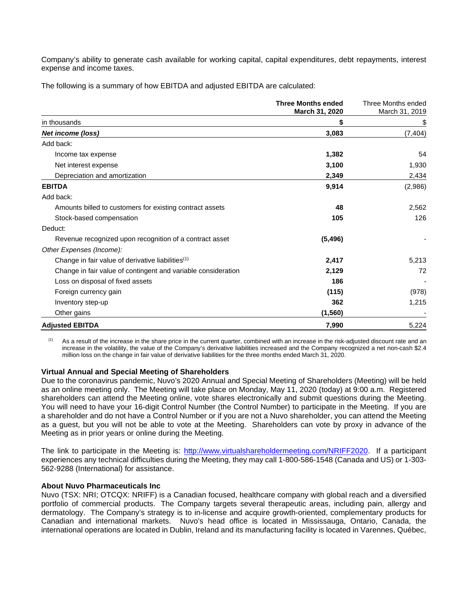Company's ability to generate cash available for working capital, capital expenditures, debt repayments, interest expense and income taxes.

The following is a summary of how EBITDA and adjusted EBITDA are calculated:

|                                                               | <b>Three Months ended</b><br>March 31, 2020 | Three Months ended<br>March 31, 2019 |
|---------------------------------------------------------------|---------------------------------------------|--------------------------------------|
| in thousands                                                  | \$                                          | \$                                   |
| Net income (loss)                                             | 3,083                                       | (7, 404)                             |
| Add back:                                                     |                                             |                                      |
| Income tax expense                                            | 1,382                                       | 54                                   |
| Net interest expense                                          | 3,100                                       | 1,930                                |
| Depreciation and amortization                                 | 2,349                                       | 2,434                                |
| <b>EBITDA</b>                                                 | 9,914                                       | (2,986)                              |
| Add back:                                                     |                                             |                                      |
| Amounts billed to customers for existing contract assets      | 48                                          | 2,562                                |
| Stock-based compensation                                      | 105                                         | 126                                  |
| Deduct:                                                       |                                             |                                      |
| Revenue recognized upon recognition of a contract asset       | (5, 496)                                    |                                      |
| Other Expenses (Income):                                      |                                             |                                      |
| Change in fair value of derivative liabilities <sup>(1)</sup> | 2,417                                       | 5,213                                |
| Change in fair value of contingent and variable consideration | 2,129                                       | 72                                   |
| Loss on disposal of fixed assets                              | 186                                         |                                      |
| Foreign currency gain                                         | (115)                                       | (978)                                |
| Inventory step-up                                             | 362                                         | 1,215                                |
| Other gains                                                   | (1, 560)                                    |                                      |
| <b>Adjusted EBITDA</b>                                        | 7,990                                       | 5,224                                |

(1) As a result of the increase in the share price in the current quarter, combined with an increase in the risk-adjusted discount rate and an increase in the volatility, the value of the Company's derivative liabilities increased and the Company recognized a net non-cash \$2.4 million loss on the change in fair value of derivative liabilities for the three months ended March 31, 2020.

### **Virtual Annual and Special Meeting of Shareholders**

Due to the coronavirus pandemic, Nuvo's 2020 Annual and Special Meeting of Shareholders (Meeting) will be held as an online meeting only. The Meeting will take place on Monday, May 11, 2020 (today) at 9:00 a.m. Registered shareholders can attend the Meeting online, vote shares electronically and submit questions during the Meeting. You will need to have your 16-digit Control Number (the Control Number) to participate in the Meeting. If you are a shareholder and do not have a Control Number or if you are not a Nuvo shareholder, you can attend the Meeting as a guest, but you will not be able to vote at the Meeting. Shareholders can vote by proxy in advance of the Meeting as in prior years or online during the Meeting.

The link to participate in the Meeting is: [http://www.virtualshareholdermeeting.com/NRIFF2020.](http://www.virtualshareholdermeeting.com/NRIFF2020) If a participant experiences any technical difficulties during the Meeting, they may call 1-800-586-1548 (Canada and US) or 1-303- 562-9288 (International) for assistance.

#### **About Nuvo Pharmaceuticals Inc**

Nuvo (TSX: NRI; OTCQX: NRIFF) is a Canadian focused, healthcare company with global reach and a diversified portfolio of commercial products. The Company targets several therapeutic areas, including pain, allergy and dermatology. The Company's strategy is to in-license and acquire growth-oriented, complementary products for Canadian and international markets. Nuvo's head office is located in Mississauga, Ontario, Canada, the international operations are located in Dublin, Ireland and its manufacturing facility is located in Varennes, Québec,